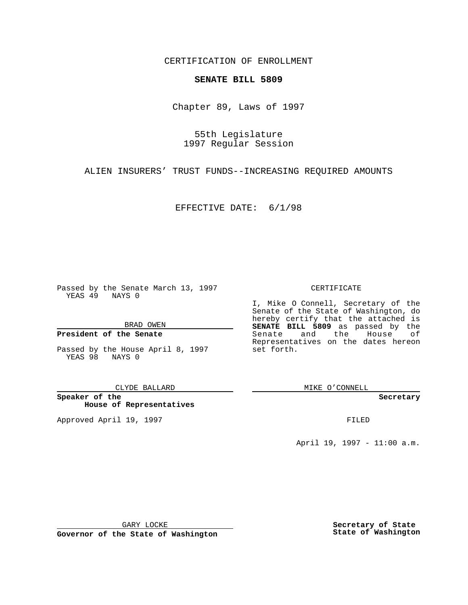CERTIFICATION OF ENROLLMENT

## **SENATE BILL 5809**

Chapter 89, Laws of 1997

55th Legislature 1997 Regular Session

ALIEN INSURERS' TRUST FUNDS--INCREASING REQUIRED AMOUNTS

EFFECTIVE DATE: 6/1/98

Passed by the Senate March 13, 1997 YEAS 49 NAYS 0

BRAD OWEN

### **President of the Senate**

Passed by the House April 8, 1997 YEAS 98 NAYS 0

CLYDE BALLARD

**Speaker of the House of Representatives**

Approved April 19, 1997 **FILED** 

#### CERTIFICATE

I, Mike O Connell, Secretary of the Senate of the State of Washington, do hereby certify that the attached is **SENATE BILL 5809** as passed by the Senate and the House of Representatives on the dates hereon set forth.

MIKE O'CONNELL

**Secretary**

April 19, 1997 - 11:00 a.m.

GARY LOCKE

**Governor of the State of Washington**

**Secretary of State State of Washington**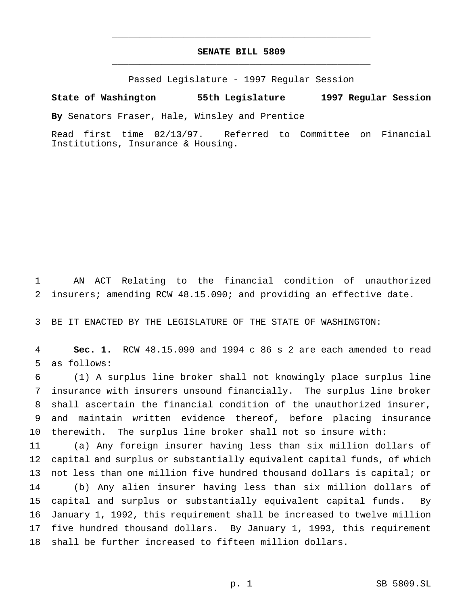# **SENATE BILL 5809** \_\_\_\_\_\_\_\_\_\_\_\_\_\_\_\_\_\_\_\_\_\_\_\_\_\_\_\_\_\_\_\_\_\_\_\_\_\_\_\_\_\_\_\_\_\_\_

\_\_\_\_\_\_\_\_\_\_\_\_\_\_\_\_\_\_\_\_\_\_\_\_\_\_\_\_\_\_\_\_\_\_\_\_\_\_\_\_\_\_\_\_\_\_\_

Passed Legislature - 1997 Regular Session

### **State of Washington 55th Legislature 1997 Regular Session**

**By** Senators Fraser, Hale, Winsley and Prentice

Read first time 02/13/97. Referred to Committee on Financial Institutions, Insurance & Housing.

 AN ACT Relating to the financial condition of unauthorized insurers; amending RCW 48.15.090; and providing an effective date.

BE IT ENACTED BY THE LEGISLATURE OF THE STATE OF WASHINGTON:

 **Sec. 1.** RCW 48.15.090 and 1994 c 86 s 2 are each amended to read as follows:

 (1) A surplus line broker shall not knowingly place surplus line insurance with insurers unsound financially. The surplus line broker shall ascertain the financial condition of the unauthorized insurer, and maintain written evidence thereof, before placing insurance therewith. The surplus line broker shall not so insure with:

 (a) Any foreign insurer having less than six million dollars of capital and surplus or substantially equivalent capital funds, of which not less than one million five hundred thousand dollars is capital; or (b) Any alien insurer having less than six million dollars of capital and surplus or substantially equivalent capital funds. By January 1, 1992, this requirement shall be increased to twelve million five hundred thousand dollars. By January 1, 1993, this requirement shall be further increased to fifteen million dollars.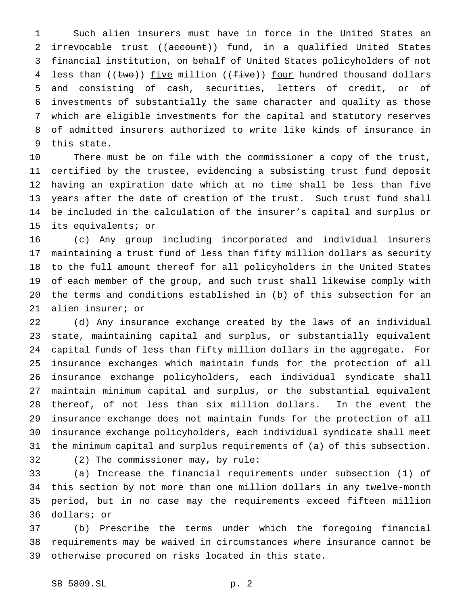Such alien insurers must have in force in the United States an 2 irrevocable trust ((account)) fund, in a qualified United States financial institution, on behalf of United States policyholders of not 4 less than  $((two))$  five million  $((five))$  four hundred thousand dollars and consisting of cash, securities, letters of credit, or of investments of substantially the same character and quality as those which are eligible investments for the capital and statutory reserves of admitted insurers authorized to write like kinds of insurance in this state.

 There must be on file with the commissioner a copy of the trust, 11 certified by the trustee, evidencing a subsisting trust fund deposit having an expiration date which at no time shall be less than five years after the date of creation of the trust. Such trust fund shall be included in the calculation of the insurer's capital and surplus or its equivalents; or

 (c) Any group including incorporated and individual insurers maintaining a trust fund of less than fifty million dollars as security to the full amount thereof for all policyholders in the United States of each member of the group, and such trust shall likewise comply with the terms and conditions established in (b) of this subsection for an alien insurer; or

 (d) Any insurance exchange created by the laws of an individual state, maintaining capital and surplus, or substantially equivalent capital funds of less than fifty million dollars in the aggregate. For insurance exchanges which maintain funds for the protection of all insurance exchange policyholders, each individual syndicate shall maintain minimum capital and surplus, or the substantial equivalent thereof, of not less than six million dollars. In the event the insurance exchange does not maintain funds for the protection of all insurance exchange policyholders, each individual syndicate shall meet the minimum capital and surplus requirements of (a) of this subsection. (2) The commissioner may, by rule:

 (a) Increase the financial requirements under subsection (1) of this section by not more than one million dollars in any twelve-month period, but in no case may the requirements exceed fifteen million dollars; or

 (b) Prescribe the terms under which the foregoing financial requirements may be waived in circumstances where insurance cannot be otherwise procured on risks located in this state.